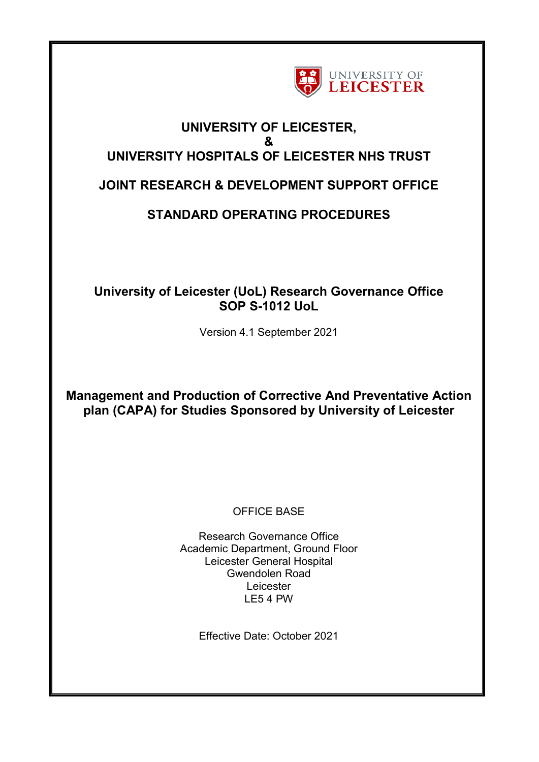

# **UNIVERSITY OF LEICESTER, & UNIVERSITY HOSPITALS OF LEICESTER NHS TRUST**

# **JOINT RESEARCH & DEVELOPMENT SUPPORT OFFICE**

# **STANDARD OPERATING PROCEDURES**

# **University of Leicester (UoL) Research Governance Office SOP S-1012 UoL**

Version 4.1 September 2021

**Management and Production of Corrective And Preventative Action plan (CAPA) for Studies Sponsored by University of Leicester** 

OFFICE BASE

Research Governance Office Academic Department, Ground Floor Leicester General Hospital Gwendolen Road Leicester LE5 4 PW

Effective Date: October 2021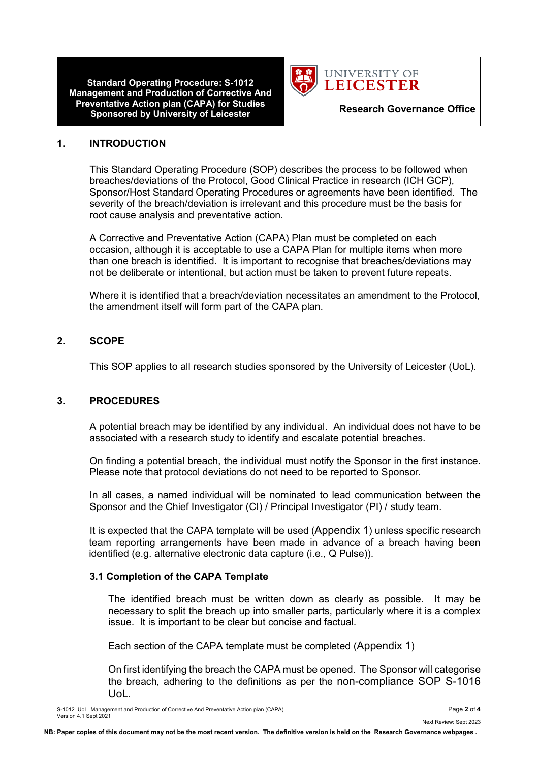

#### **1. INTRODUCTION**

This Standard Operating Procedure (SOP) describes the process to be followed when breaches/deviations of the Protocol, Good Clinical Practice in research (ICH GCP), Sponsor/Host Standard Operating Procedures or agreements have been identified. The severity of the breach/deviation is irrelevant and this procedure must be the basis for root cause analysis and preventative action.

A Corrective and Preventative Action (CAPA) Plan must be completed on each occasion, although it is acceptable to use a CAPA Plan for multiple items when more than one breach is identified. It is important to recognise that breaches/deviations may not be deliberate or intentional, but action must be taken to prevent future repeats.

Where it is identified that a breach/deviation necessitates an amendment to the Protocol, the amendment itself will form part of the CAPA plan.

### **2. SCOPE**

This SOP applies to all research studies sponsored by the University of Leicester (UoL).

#### **3. PROCEDURES**

A potential breach may be identified by any individual. An individual does not have to be associated with a research study to identify and escalate potential breaches.

On finding a potential breach, the individual must notify the Sponsor in the first instance. Please note that protocol deviations do not need to be reported to Sponsor.

In all cases, a named individual will be nominated to lead communication between the Sponsor and the Chief Investigator (CI) / Principal Investigator (PI) / study team.

It is expected that the CAPA template will be used (Appendix 1) unless specific research team reporting arrangements have been made in advance of a breach having been identified (e.g. alternative electronic data capture (i.e., Q Pulse)).

#### **3.1 Completion of the CAPA Template**

The identified breach must be written down as clearly as possible. It may be necessary to split the breach up into smaller parts, particularly where it is a complex issue. It is important to be clear but concise and factual.

Each section of the CAPA template must be completed (Appendix 1)

On first identifying the breach the CAPA must be opened. The Sponsor will categorise the breach, adhering to the definitions as per the non-compliance SOP S-1016 UoL.

S-1012 UoL Management and Production of Corrective And Preventative Action plan (CAPA) Page **2** of **4** Version 4.1 Sept 2021

Next Review: Sept 2023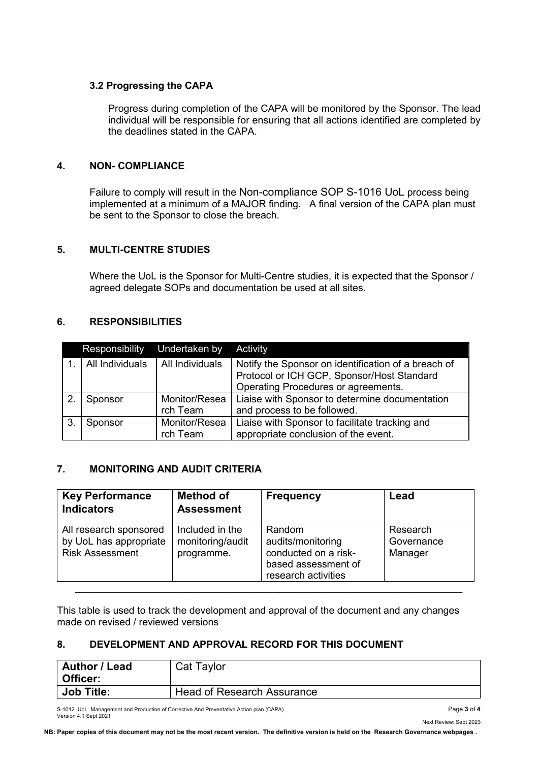#### **3.2 Progressing the CAPA**

Progress during completion of the CAPA will be monitored by the Sponsor. The lead individual will be responsible for ensuring that all actions identified are completed by the deadlines stated in the CAPA.

#### **4. NON- COMPLIANCE**

Failure to comply will result in the Non-compliance SOP S-1016 UoL process being implemented at a minimum of a MAJOR finding. A final version of the CAPA plan must be sent to the Sponsor to close the breach.

### **5. MULTI-CENTRE STUDIES**

Where the UoL is the Sponsor for Multi-Centre studies, it is expected that the Sponsor / agreed delegate SOPs and documentation be used at all sites.

## **6. RESPONSIBILITIES**

|    | Responsibility  | Undertaken by             | Activity                                                                                                                                 |
|----|-----------------|---------------------------|------------------------------------------------------------------------------------------------------------------------------------------|
|    | All Individuals | All Individuals           | Notify the Sponsor on identification of a breach of<br>Protocol or ICH GCP, Sponsor/Host Standard<br>Operating Procedures or agreements. |
|    | Sponsor         | Monitor/Resea<br>rch Team | Liaise with Sponsor to determine documentation<br>and process to be followed.                                                            |
| 3. | Sponsor         | Monitor/Resea<br>rch Team | Liaise with Sponsor to facilitate tracking and<br>appropriate conclusion of the event.                                                   |

# **7. MONITORING AND AUDIT CRITERIA**

| <b>Key Performance</b><br><b>Indicators</b>                                | <b>Method of</b><br><b>Assessment</b>             | <b>Frequency</b>                                                                                  | Lead                              |
|----------------------------------------------------------------------------|---------------------------------------------------|---------------------------------------------------------------------------------------------------|-----------------------------------|
| All research sponsored<br>by UoL has appropriate<br><b>Risk Assessment</b> | Included in the<br>monitoring/audit<br>programme. | Random<br>audits/monitoring<br>conducted on a risk-<br>based assessment of<br>research activities | Research<br>Governance<br>Manager |

This table is used to track the development and approval of the document and any changes made on revised / reviewed versions

# **8. DEVELOPMENT AND APPROVAL RECORD FOR THIS DOCUMENT**

| <b>Author / Lead</b> | Cat Taylor                        |
|----------------------|-----------------------------------|
| Officer:             |                                   |
| <b>Job Title:</b>    | <b>Head of Research Assurance</b> |

S-1012 UoL Management and Production of Corrective And Preventative Action plan (CAPA) Page **3** of **4** Version 4.1 Sept 2021

Next Review: Sept 2023

**NB: Paper copies of this document may not be the most recent version. The definitive version is held on the Research Governance webpages .**